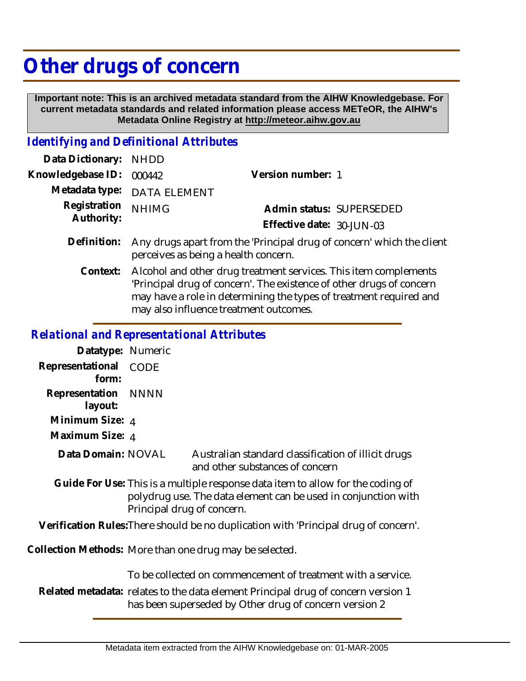## **Other drugs of concern**

 **Important note: This is an archived metadata standard from the AIHW Knowledgebase. For current metadata standards and related information please access METeOR, the AIHW's Metadata Online Registry at http://meteor.aihw.gov.au**

## *Identifying and Definitional Attributes*

| Data Dictionary: NHDD      |                                                                                                               |                           |                          |
|----------------------------|---------------------------------------------------------------------------------------------------------------|---------------------------|--------------------------|
| Knowledgebase ID:          | 000442                                                                                                        | Version number: 1         |                          |
|                            | Metadata type: DATA ELEMENT                                                                                   |                           |                          |
| Registration<br>Authority: | <b>NHIMG</b>                                                                                                  | Effective date: 30-JUN-03 | Admin status: SUPERSEDED |
| Definition:                | Any drugs apart from the 'Principal drug of concern' which the client<br>perceives as being a health concern. |                           |                          |

Alcohol and other drug treatment services. This item complements 'Principal drug of concern'. The existence of other drugs of concern may have a role in determining the types of treatment required and may also influence treatment outcomes. **Context:**

## *Relational and Representational Attributes*

| Datatype: Numeric         |             |  |
|---------------------------|-------------|--|
| Representational<br>form: | <b>CODE</b> |  |
| Representation NNNN       |             |  |
| layout:                   |             |  |
| Minimum Size: 4           |             |  |
| Maximum Size: 4           |             |  |
| Data Domain: NOVAL        |             |  |

ustralian standard classification of illicit drugs and other substances of concern

Guide For Use: This is a multiple response data item to allow for the coding of polydrug use. The data element can be used in conjunction with Principal drug of concern.

**Verification Rules:**There should be no duplication with 'Principal drug of concern'.

Collection Methods: More than one drug may be selected.

To be collected on commencement of treatment with a service.

Related metadata: relates to the data element Principal drug of concern version 1 has been superseded by Other drug of concern version 2